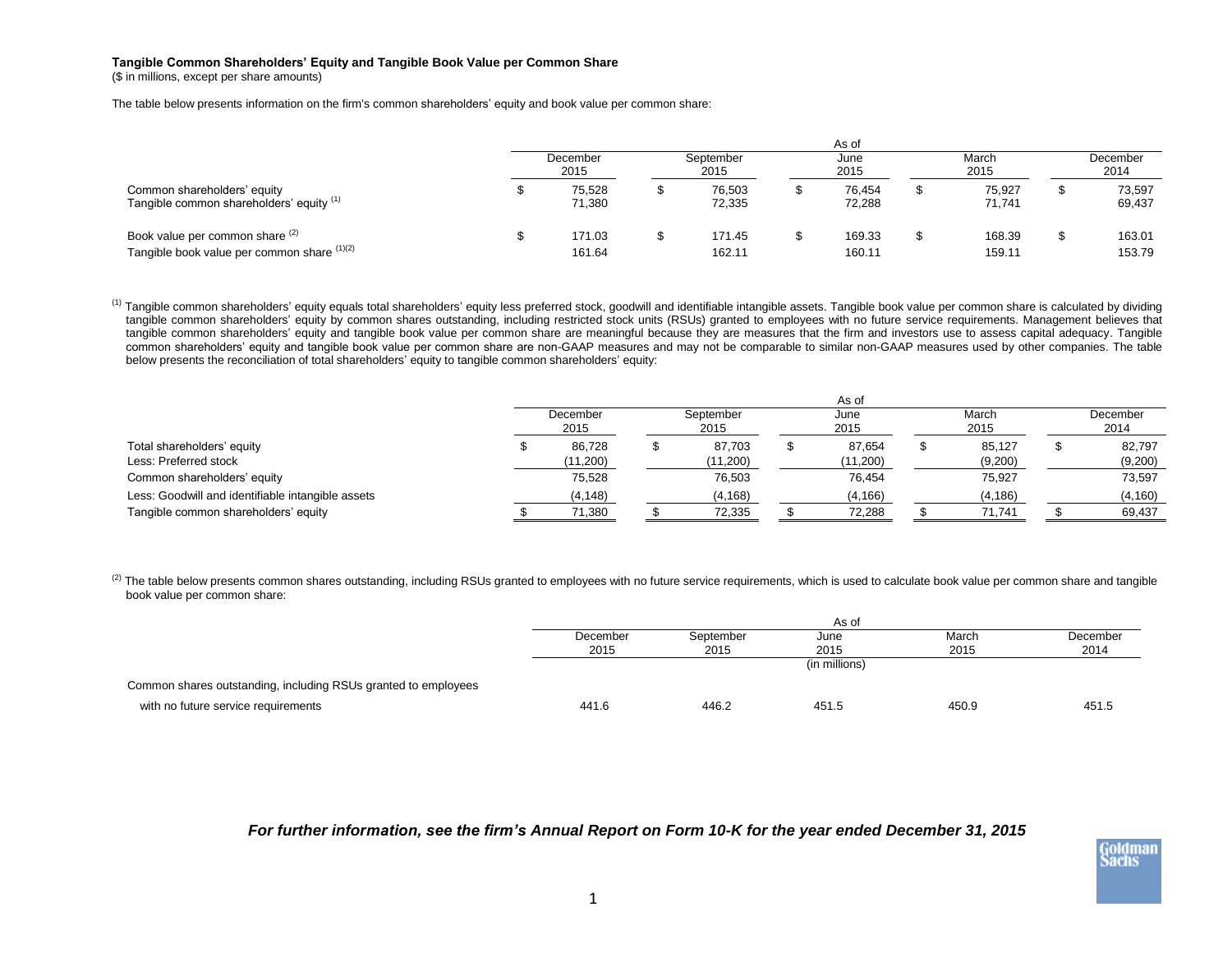## **Tangible Common Shareholders' Equity and Tangible Book Value per Common Share**

(\$ in millions, except per share amounts)

The table below presents information on the firm's common shareholders' equity and book value per common share:

|                                                                                | As of            |                  |                   |                  |              |                  |               |                  |                  |                  |
|--------------------------------------------------------------------------------|------------------|------------------|-------------------|------------------|--------------|------------------|---------------|------------------|------------------|------------------|
|                                                                                | December<br>2015 |                  | September<br>2015 |                  | June<br>2015 |                  | March<br>2015 |                  | December<br>2014 |                  |
| Common shareholders' equity<br>Tangible common shareholders' equity (1)        |                  | 75.528<br>71.380 |                   | 76.503<br>72,335 |              | 76.454<br>72,288 |               | 75.927<br>71,741 |                  | 73,597<br>69,437 |
| Book value per common share (2)<br>Tangible book value per common share (1)(2) |                  | 171.03<br>161.64 |                   | 171.45<br>162.11 |              | 169.33<br>160.11 |               | 168.39<br>159.11 |                  | 163.01<br>153.79 |

<sup>(1)</sup> Tangible common shareholders' equity equals total shareholders' equity less preferred stock, goodwill and identifiable intangible assets. Tangible book value per common share is calculated by dividing tangible common shareholders' equity by common shares outstanding, including restricted stock units (RSUs) granted to employees with no future service requirements. Management believes that tangible common shareholders' equity and tangible book value per common share are meaningful because they are measures that the firm and investors use to assess capital adequacy. Tangible common shareholders' equity and tangible book value per common share are non-GAAP measures and may not be comparable to similar non-GAAP measures used by other companies. The table below presents the reconciliation of total shareholders' equity to tangible common shareholders' equity:

|                                                   | As of            |          |                   |          |              |          |               |          |                  |          |
|---------------------------------------------------|------------------|----------|-------------------|----------|--------------|----------|---------------|----------|------------------|----------|
|                                                   | December<br>2015 |          | September<br>2015 |          | June<br>2015 |          | March<br>2015 |          | December<br>2014 |          |
| Total shareholders' equity                        |                  | 86,728   | æ                 | 87,703   |              | 87,654   |               | 85.127   |                  | 82,797   |
| Less: Preferred stock                             |                  | (11,200) |                   | (11,200) |              | (11,200) |               | (9,200)  |                  | (9,200)  |
| Common shareholders' equity                       |                  | 75,528   |                   | 76,503   |              | 76.454   |               | 75,927   |                  | 73,597   |
| Less: Goodwill and identifiable intangible assets |                  | (4, 148) |                   | (4, 168) |              | (4, 166) |               | (4, 186) |                  | (4, 160) |
| Tangible common shareholders' equity              |                  | 71,380   |                   | 72,335   |              | 72,288   |               | 71.741   |                  | 69,437   |

 $^{(2)}$  The table below presents common shares outstanding, including RSUs granted to employees with no future service requirements, which is used to calculate book value per common share and tangible book value per common share:

|                                                                | As of    |           |               |       |          |  |  |
|----------------------------------------------------------------|----------|-----------|---------------|-------|----------|--|--|
|                                                                | December | September | June          | March | December |  |  |
|                                                                | 2015     | 2015      | 2015          | 2015  | 2014     |  |  |
|                                                                |          |           | (in millions) |       |          |  |  |
| Common shares outstanding, including RSUs granted to employees |          |           |               |       |          |  |  |
| with no future service requirements                            | 441.6    | 446.2     | 451.5         | 450.9 | 451.5    |  |  |

*For further information, see the firm's Annual Report on Form 10-K for the year ended December 31, 2015*